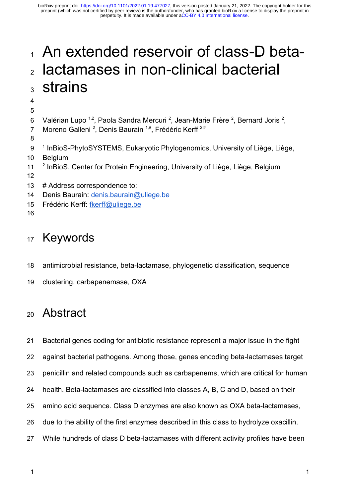# An extended reservoir of class-D betalactamases in non-clinical bacterial strains 1  $\overline{2}$ 3

4 5

- Valérian Lupo <sup>1,2</sup>, Paola Sandra Mercuri <sup>2</sup>, Jean-Marie Frère <sup>2</sup>, Bernard Joris <sup>2</sup>, 6
- Moreno Galleni <sup>2</sup>, Denis Baurain <sup>1,#</sup>, Frédéric Kerff <sup>2,#</sup> 7
- 8
- <sup>1</sup> InBioS-PhytoSYSTEMS, Eukaryotic Phylogenomics, University of Liège, Liège, 9
- Belgium 10
- <sup>2</sup> InBioS, Center for Protein Engineering, University of Liège, Liège, Belgium 11
- 12
- # Address correspondence to: 13
- Denis Baurain: denis.baurain@uliege.be 14
- Frédéric Kerff: fkerff@uliege.be 15
- 16

# Keywords 17

- antimicrobial resistance, beta-lactamase, phylogenetic classification, sequence 18
- clustering, carbapenemase, OXA 19

# Abstract 20

Bacterial genes coding for antibiotic resistance represent a major issue in the fight 21

against bacterial pathogens. Among those, genes encoding beta-lactamases target 22

- penicillin and related compounds such as carbapenems, which are critical for human 23
- health. Beta-lactamases are classified into classes A, B, C and D, based on their 24
- amino acid sequence. Class D enzymes are also known as OXA beta-lactamases, 25
- due to the ability of the first enzymes described in this class to hydrolyze oxacillin. 26
- While hundreds of class D beta-lactamases with different activity profiles have been 27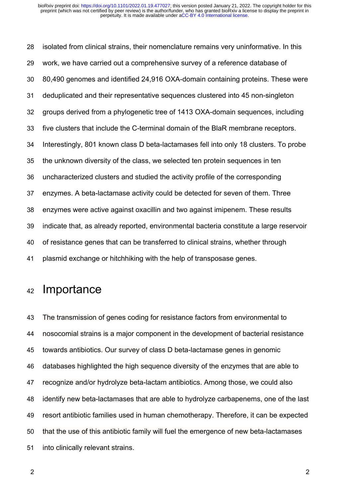isolated from clinical strains, their nomenclature remains very uninformative. In this work, we have carried out a comprehensive survey of a reference database of 80,490 genomes and identified 24,916 OXA-domain containing proteins. These were deduplicated and their representative sequences clustered into 45 non-singleton groups derived from a phylogenetic tree of 1413 OXA-domain sequences, including five clusters that include the C-terminal domain of the BlaR membrane receptors. Interestingly, 801 known class D beta-lactamases fell into only 18 clusters. To probe the unknown diversity of the class, we selected ten protein sequences in ten uncharacterized clusters and studied the activity profile of the corresponding enzymes. A beta-lactamase activity could be detected for seven of them. Three enzymes were active against oxacillin and two against imipenem. These results indicate that, as already reported, environmental bacteria constitute a large reservoir of resistance genes that can be transferred to clinical strains, whether through plasmid exchange or hitchhiking with the help of transposase genes. 28 29 30 31 32 33 34 35 36 37 38 39 40 41

# Importance 42

The transmission of genes coding for resistance factors from environmental to nosocomial strains is a major component in the development of bacterial resistance towards antibiotics. Our survey of class D beta-lactamase genes in genomic databases highlighted the high sequence diversity of the enzymes that are able to recognize and/or hydrolyze beta-lactam antibiotics. Among those, we could also identify new beta-lactamases that are able to hydrolyze carbapenems, one of the last resort antibiotic families used in human chemotherapy. Therefore, it can be expected that the use of this antibiotic family will fuel the emergence of new beta-lactamases into clinically relevant strains. 43 44 45 46 47 48 49 50 51

2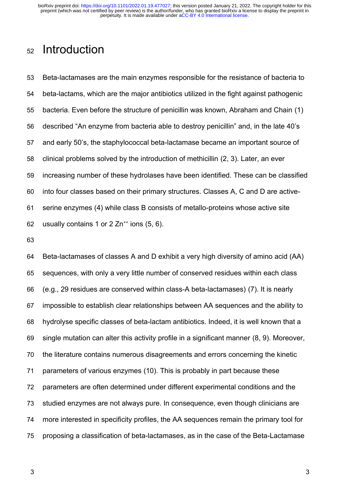# Introduction 52

Beta-lactamases are the main enzymes responsible for the resistance of bacteria to beta-lactams, which are the major antibiotics utilized in the fight against pathogenic bacteria. Even before the structure of penicillin was known, Abraham and Chain (1) described "An enzyme from bacteria able to destroy penicillin" and, in the late 40's and early 50's, the staphylococcal beta-lactamase became an important source of clinical problems solved by the introduction of methicillin (2, 3). Later, an ever increasing number of these hydrolases have been identified. These can be classified into four classes based on their primary structures. Classes A, C and D are activeserine enzymes (4) while class B consists of metallo-proteins whose active site usually contains 1 or  $2 \text{ Zn}^{++}$  ions  $(5, 6)$ . 53 54 55 56 57 58 59 60 61 62

63

Beta-lactamases of classes A and D exhibit a very high diversity of amino acid (AA) sequences, with only a very little number of conserved residues within each class (e.g., 29 residues are conserved within class-A beta-lactamases) (7). It is nearly impossible to establish clear relationships between AA sequences and the ability to hydrolyse specific classes of beta-lactam antibiotics. Indeed, it is well known that a single mutation can alter this activity profile in a significant manner (8, 9). Moreover, the literature contains numerous disagreements and errors concerning the kinetic parameters of various enzymes (10). This is probably in part because these parameters are often determined under different experimental conditions and the studied enzymes are not always pure. In consequence, even though clinicians are more interested in specificity profiles, the AA sequences remain the primary tool for proposing a classification of beta-lactamases, as in the case of the Beta-Lactamase 64 65 66 67 68 69 70 71 72 73 74 75

3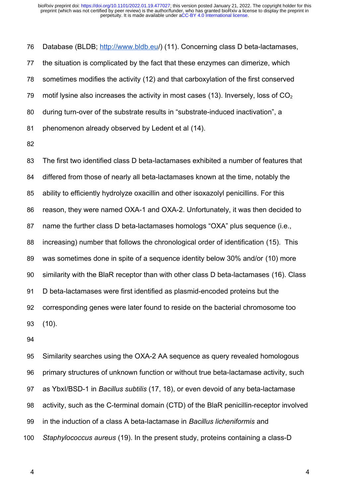Database (BLDB; http://www.bldb.eu/) (11). Concerning class D beta-lactamases, the situation is complicated by the fact that these enzymes can dimerize, which sometimes modifies the activity (12) and that carboxylation of the first conserved motif lysine also increases the activity in most cases (13). Inversely, loss of  $CO<sub>2</sub>$ during turn-over of the substrate results in "substrate-induced inactivation", a phenomenon already observed by Ledent et al (14). 76 77 78 79 80 81

82

The first two identified class D beta-lactamases exhibited a number of features that differed from those of nearly all beta-lactamases known at the time, notably the ability to efficiently hydrolyze oxacillin and other isoxazolyl penicillins. For this reason, they were named OXA-1 and OXA-2. Unfortunately, it was then decided to name the further class D beta-lactamases homologs "OXA" plus sequence (i.e., increasing) number that follows the chronological order of identification (15). This was sometimes done in spite of a sequence identity below 30% and/or (10) more similarity with the BlaR receptor than with other class D beta-lactamases (16). Class D beta-lactamases were first identified as plasmid-encoded proteins but the corresponding genes were later found to reside on the bacterial chromosome too (10). 83 84 85 86 87 88 89 90 91 92 93

94

Similarity searches using the OXA-2 AA sequence as query revealed homologous primary structures of unknown function or without true beta-lactamase activity, such as YbxI/BSD-1 in *Bacillus subtilis* (17, 18), or even devoid of any beta-lactamase activity, such as the C-terminal domain (CTD) of the BlaR penicillin-receptor involved in the induction of a class A beta-lactamase in *Bacillus licheniformis* and *Staphylococcus aureus* (19). In the present study, proteins containing a class-D 95 96 97 98 99 100

4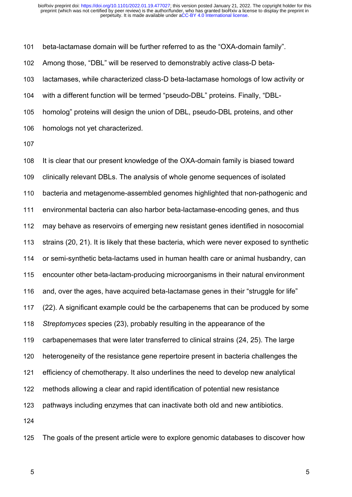beta-lactamase domain will be further referred to as the "OXA-domain family". Among those, "DBL" will be reserved to demonstrably active class-D betalactamases, while characterized class-D beta-lactamase homologs of low activity or with a different function will be termed "pseudo-DBL" proteins. Finally, "DBLhomolog" proteins will design the union of DBL, pseudo-DBL proteins, and other homologs not yet characterized. 101 102 103 104 105 106

107

It is clear that our present knowledge of the OXA-domain family is biased toward clinically relevant DBLs. The analysis of whole genome sequences of isolated bacteria and metagenome-assembled genomes highlighted that non-pathogenic and environmental bacteria can also harbor beta-lactamase-encoding genes, and thus may behave as reservoirs of emerging new resistant genes identified in nosocomial strains (20, 21). It is likely that these bacteria, which were never exposed to synthetic or semi-synthetic beta-lactams used in human health care or animal husbandry, can encounter other beta-lactam-producing microorganisms in their natural environment and, over the ages, have acquired beta-lactamase genes in their "struggle for life" (22). A significant example could be the carbapenems that can be produced by some *Streptomyces* species (23), probably resulting in the appearance of the carbapenemases that were later transferred to clinical strains (24, 25). The large heterogeneity of the resistance gene repertoire present in bacteria challenges the efficiency of chemotherapy. It also underlines the need to develop new analytical methods allowing a clear and rapid identification of potential new resistance pathways including enzymes that can inactivate both old and new antibiotics. 108 109 110 111 112 113 114 115 116 117 118 119 120 121 122 123 124

The goals of the present article were to explore genomic databases to discover how 125

5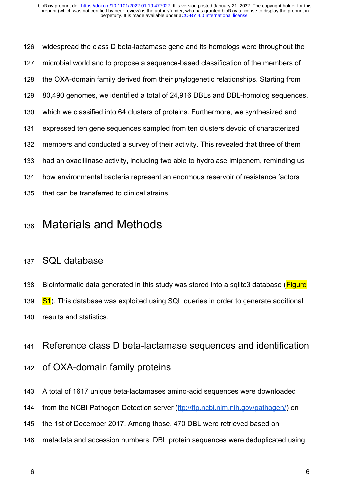widespread the class D beta-lactamase gene and its homologs were throughout the microbial world and to propose a sequence-based classification of the members of the OXA-domain family derived from their phylogenetic relationships. Starting from 80,490 genomes, we identified a total of 24,916 DBLs and DBL-homolog sequences, which we classified into 64 clusters of proteins. Furthermore, we synthesized and expressed ten gene sequences sampled from ten clusters devoid of characterized members and conducted a survey of their activity. This revealed that three of them had an oxacillinase activity, including two able to hydrolase imipenem, reminding us how environmental bacteria represent an enormous reservoir of resistance factors that can be transferred to clinical strains. 126 127 128 129 130 131 132 133 134 135

# Materials and Methods 136

# SQL database 137

Bioinformatic data generated in this study was stored into a sqlite3 database (Figure S1). This database was exploited using SQL queries in order to generate additional results and statistics. 138 139 140

### Reference class D beta-lactamase sequences and identification 141

# of OXA-domain family proteins 142

- A total of 1617 unique beta-lactamases amino-acid sequences were downloaded 143
- from the NCBI Pathogen Detection server (ftp://ftp.ncbi.nlm.nih.gov/pathogen/) on 144
- the 1st of December 2017. Among those, 470 DBL were retrieved based on 145
- metadata and accession numbers. DBL protein sequences were deduplicated using 146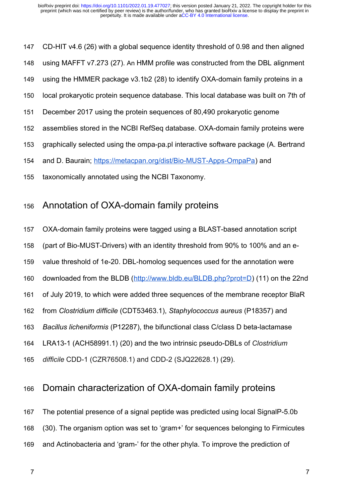CD-HIT v4.6 (26) with a global sequence identity threshold of 0.98 and then aligned using MAFFT v7.273 (27). An HMM profile was constructed from the DBL alignment using the HMMER package v3.1b2 (28) to identify OXA-domain family proteins in a local prokaryotic protein sequence database. This local database was built on 7th of December 2017 using the protein sequences of 80,490 prokaryotic genome assemblies stored in the NCBI RefSeq database. OXA-domain family proteins were graphically selected using the ompa-pa.pl interactive software package (A. Bertrand and D. Baurain; https://metacpan.org/dist/Bio-MUST-Apps-OmpaPa) and taxonomically annotated using the NCBI Taxonomy. 147 148 149 150 151 152 153 154 155

# Annotation of OXA-domain family proteins 156

OXA-domain family proteins were tagged using a BLAST-based annotation script 157

(part of Bio-MUST-Drivers) with an identity threshold from 90% to 100% and an e-158

value threshold of 1e-20. DBL-homolog sequences used for the annotation were 159

downloaded from the BLDB (http://www.bldb.eu/BLDB.php?prot=D) (11) on the 22nd 160

of July 2019, to which were added three sequences of the membrane receptor BlaR 161

- from *Clostridium difficile* (CDT53463.1), *Staphylococcus aureus* (P18357) and 162
- *Bacillus licheniformis* (P12287), the bifunctional class C/class D beta-lactamase 163
- LRA13-1 (ACH58991.1) (20) and the two intrinsic pseudo-DBLs of *Clostridium*  164

*difficile* CDD-1 (CZR76508.1) and CDD-2 (SJQ22628.1) (29). 165

# Domain characterization of OXA-domain family proteins 166

The potential presence of a signal peptide was predicted using local SignalP-5.0b 167

(30). The organism option was set to 'gram+' for sequences belonging to Firmicutes 168

and Actinobacteria and 'gram-' for the other phyla. To improve the prediction of 169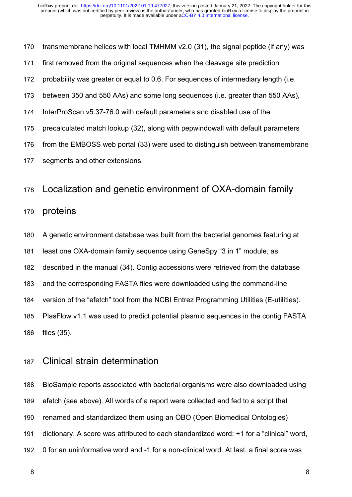transmembrane helices with local TMHMM v2.0 (31), the signal peptide (if any) was first removed from the original sequences when the cleavage site prediction probability was greater or equal to 0.6. For sequences of intermediary length (i.e. between 350 and 550 AAs) and some long sequences (i.e. greater than 550 AAs), InterProScan v5.37-76.0 with default parameters and disabled use of the precalculated match lookup (32), along with pepwindowall with default parameters from the EMBOSS web portal (33) were used to distinguish between transmembrane segments and other extensions. 170 171 172 173 174 175 176 177

# Localization and genetic environment of OXA-domain family 178

#### proteins 179

- A genetic environment database was built from the bacterial genomes featuring at 180
- least one OXA-domain family sequence using GeneSpy "3 in 1" module, as 181
- described in the manual (34). Contig accessions were retrieved from the database 182
- and the corresponding FASTA files were downloaded using the command-line 183
- version of the "efetch" tool from the NCBI Entrez Programming Utilities (E-utilities). 184
- PlasFlow v1.1 was used to predict potential plasmid sequences in the contig FASTA files (35). 185 186

### Clinical strain determination 187

BioSample reports associated with bacterial organisms were also downloaded using efetch (see above). All words of a report were collected and fed to a script that renamed and standardized them using an OBO (Open Biomedical Ontologies) dictionary. A score was attributed to each standardized word: +1 for a "clinical" word, 0 for an uninformative word and -1 for a non-clinical word. At last, a final score was 188 189 190 191 192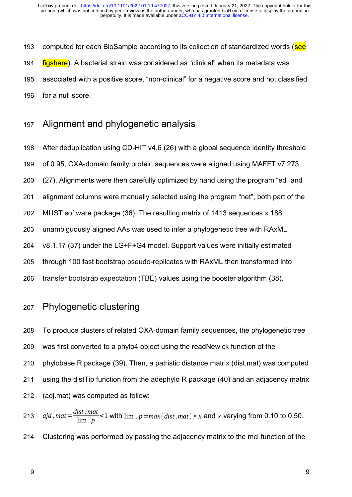computed for each BioSample according to its collection of standardized words (see figshare). A bacterial strain was considered as "clinical" when its metadata was associated with a positive score, "non-clinical" for a negative score and not classified for a null score. 193 194 195 196

Alignment and phylogenetic analysis 197

After deduplication using CD-HIT v4.6 (26) with a global sequence identity threshold of 0.95, OXA-domain family protein sequences were aligned using MAFFT v7.273 (27). Alignments were then carefully optimized by hand using the program "ed" and alignment columns were manually selected using the program "net", both part of the MUST software package (36). The resulting matrix of 1413 sequences x 188 unambiguously aligned AAs was used to infer a phylogenetic tree with RAxML v8.1.17 (37) under the LG+F+G4 model. Support values were initially estimated through 100 fast bootstrap pseudo-replicates with RAxML then transformed into transfer bootstrap expectation (TBE) values using the booster algorithm (38). 198 199 200 201 202 203 204 205 206

# Phylogenetic clustering 207

To produce clusters of related OXA-domain family sequences, the phylogenetic tree was first converted to a phylo4 object using the readNewick function of the phylobase R package (39). Then, a patristic distance matrix (dist.mat) was computed using the distTip function from the adephylo R package (40) and an adjacency matrix (adj.mat) was computed as follow: 208 209 210 211 212

*ajd .mat*= *dist .mat*  $\frac{m}{\lim_{x \to 0} p}$  <1 with  $\lim_{x \to 0} p = max(dist, mat) \times x$  and x varying from 0.10 to 0.50. Clustering was performed by passing the adjacency matrix to the mcl function of the 213 214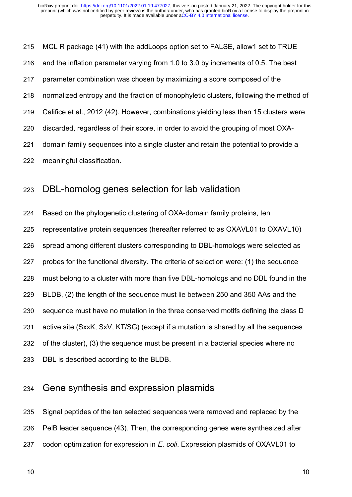MCL R package (41) with the addLoops option set to FALSE, allow1 set to TRUE and the inflation parameter varying from 1.0 to 3.0 by increments of 0.5. The best parameter combination was chosen by maximizing a score composed of the normalized entropy and the fraction of monophyletic clusters, following the method of Califice et al., 2012 (42). However, combinations yielding less than 15 clusters were discarded, regardless of their score, in order to avoid the grouping of most OXAdomain family sequences into a single cluster and retain the potential to provide a meaningful classification. 215 216 217 218 219 220 221 222

# DBL-homolog genes selection for lab validation 223

Based on the phylogenetic clustering of OXA-domain family proteins, ten representative protein sequences (hereafter referred to as OXAVL01 to OXAVL10) spread among different clusters corresponding to DBL-homologs were selected as probes for the functional diversity. The criteria of selection were: (1) the sequence must belong to a cluster with more than five DBL-homologs and no DBL found in the BLDB, (2) the length of the sequence must lie between 250 and 350 AAs and the sequence must have no mutation in the three conserved motifs defining the class D active site (SxxK, SxV, KT/SG) (except if a mutation is shared by all the sequences of the cluster), (3) the sequence must be present in a bacterial species where no DBL is described according to the BLDB. 224 225 226 227 228 229 230 231 232 233

### Gene synthesis and expression plasmids 234

Signal peptides of the ten selected sequences were removed and replaced by the PelB leader sequence (43). Then, the corresponding genes were synthesized after codon optimization for expression in *E. coli*. Expression plasmids of OXAVL01 to 235 236 237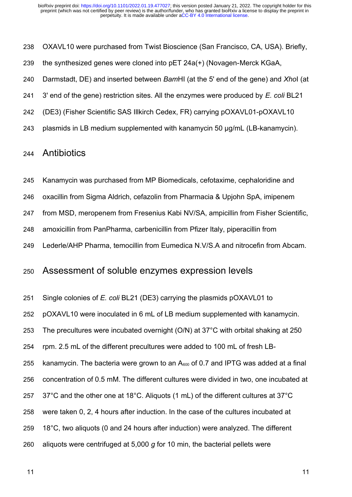OXAVL10 were purchased from Twist Bioscience (San Francisco, CA, USA). Briefly, 238

the synthesized genes were cloned into pET 24a(+) (Novagen-Merck KGaA, 239

Darmstadt, DE) and inserted between *Bam*HI (at the 5' end of the gene) and *Xho*I (at 240

3' end of the gene) restriction sites. All the enzymes were produced by *E. coli* BL21 241

(DE3) (Fisher Scientific SAS Illkirch Cedex, FR) carrying pOXAVL01-pOXAVL10 242

plasmids in LB medium supplemented with kanamycin 50 µg/mL (LB-kanamycin). 243

# **Antibiotics** 244

Kanamycin was purchased from MP Biomedicals, cefotaxime, cephaloridine and 245

oxacillin from Sigma Aldrich, cefazolin from Pharmacia & Upjohn SpA, imipenem 246

from MSD, meropenem from Fresenius Kabi NV/SA, ampicillin from Fisher Scientific, 247

amoxicillin from PanPharma, carbenicillin from Pfizer Italy, piperacillin from 248

Lederle/AHP Pharma, temocillin from Eumedica N.V/S.A and nitrocefin from Abcam. 249

### Assessment of soluble enzymes expression levels 250

Single colonies of *E. coli* BL21 (DE3) carrying the plasmids pOXAVL01 to 251

pOXAVL10 were inoculated in 6 mL of LB medium supplemented with kanamycin. 252

The precultures were incubated overnight (O/N) at 37°C with orbital shaking at 250 253

rpm. 2.5 mL of the different precultures were added to 100 mL of fresh LB-254

kanamycin. The bacteria were grown to an  $A<sub>600</sub>$  of 0.7 and IPTG was added at a final 255

concentration of 0.5 mM. The different cultures were divided in two, one incubated at 256

- 37°C and the other one at 18°C. Aliquots (1 mL) of the different cultures at 37°C 257
- were taken 0, 2, 4 hours after induction. In the case of the cultures incubated at 258
- 18°C, two aliquots (0 and 24 hours after induction) were analyzed. The different 259
- aliquots were centrifuged at 5,000 *g* for 10 min, the bacterial pellets were 260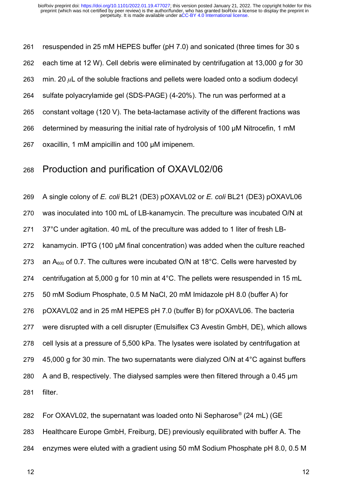resuspended in 25 mM HEPES buffer (pH 7.0) and sonicated (three times for 30 s each time at 12 W). Cell debris were eliminated by centrifugation at 13,000 *g* for 30 min. 20  $\mu$ L of the soluble fractions and pellets were loaded onto a sodium dodecyl sulfate polyacrylamide gel (SDS-PAGE) (4-20%). The run was performed at a constant voltage (120 V). The beta-lactamase activity of the different fractions was determined by measuring the initial rate of hydrolysis of 100 µM Nitrocefin, 1 mM oxacillin, 1 mM ampicillin and 100 µM imipenem. 261 262 263 264 265 266 267

### Production and purification of OXAVL02/06 268

A single colony of *E. coli* BL21 (DE3) pOXAVL02 or *E. coli* BL21 (DE3) pOXAVL06 was inoculated into 100 mL of LB-kanamycin. The preculture was incubated O/N at 37°C under agitation. 40 mL of the preculture was added to 1 liter of fresh LBkanamycin. IPTG (100 µM final concentration) was added when the culture reached an A<sub>600</sub> of 0.7. The cultures were incubated O/N at 18°C. Cells were harvested by centrifugation at 5,000 g for 10 min at 4°C. The pellets were resuspended in 15 mL 50 mM Sodium Phosphate, 0.5 M NaCl, 20 mM Imidazole pH 8.0 (buffer A) for pOXAVL02 and in 25 mM HEPES pH 7.0 (buffer B) for pOXAVL06. The bacteria were disrupted with a cell disrupter (Emulsiflex C3 Avestin GmbH, DE), which allows cell lysis at a pressure of 5,500 kPa. The lysates were isolated by centrifugation at 45,000 g for 30 min. The two supernatants were dialyzed O/N at 4°C against buffers A and B, respectively. The dialysed samples were then filtered through a 0.45 µm filter. 269 270 271 272 273 274 275 276 277 278 279 280 281

For OXAVL02, the supernatant was loaded onto Ni Sepharose® (24 mL) (GE Healthcare Europe GmbH, Freiburg, DE) previously equilibrated with buffer A. The enzymes were eluted with a gradient using 50 mM Sodium Phosphate pH 8.0, 0.5 M 282 283 284

12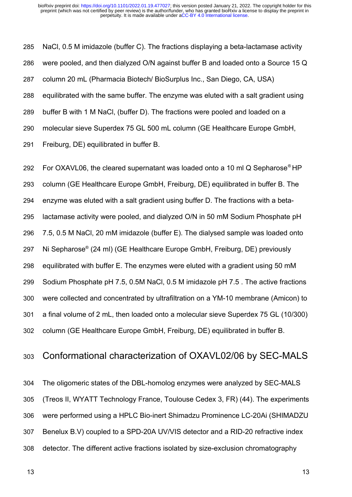NaCl, 0.5 M imidazole (buffer C). The fractions displaying a beta-lactamase activity were pooled, and then dialyzed O/N against buffer B and loaded onto a Source 15 Q column 20 mL (Pharmacia Biotech/ BioSurplus Inc., San Diego, CA, USA) equilibrated with the same buffer. The enzyme was eluted with a salt gradient using buffer B with 1 M NaCl, (buffer D). The fractions were pooled and loaded on a molecular sieve Superdex 75 GL 500 mL column (GE Healthcare Europe GmbH, Freiburg, DE) equilibrated in buffer B. 285 286 287 288 289 290 291

For OXAVL06, the cleared supernatant was loaded onto a 10 ml Q Sepharose® HP column (GE Healthcare Europe GmbH, Freiburg, DE) equilibrated in buffer B. The enzyme was eluted with a salt gradient using buffer D. The fractions with a betalactamase activity were pooled, and dialyzed O/N in 50 mM Sodium Phosphate pH 7.5, 0.5 M NaCl, 20 mM imidazole (buffer E). The dialysed sample was loaded onto Ni Sepharose® (24 ml) (GE Healthcare Europe GmbH, Freiburg, DE) previously equilibrated with buffer E. The enzymes were eluted with a gradient using 50 mM Sodium Phosphate pH 7.5, 0.5M NaCl, 0.5 M imidazole pH 7.5 . The active fractions were collected and concentrated by ultrafiltration on a YM-10 membrane (Amicon) to a final volume of 2 mL, then loaded onto a molecular sieve Superdex 75 GL (10/300) column (GE Healthcare Europe GmbH, Freiburg, DE) equilibrated in buffer B. 292 293 294 295 296 297 298 299 300 301 302

### Conformational characterization of OXAVL02/06 by SEC-MALS 303

The oligomeric states of the DBL-homolog enzymes were analyzed by SEC-MALS (Treos II, WYATT Technology France, Toulouse Cedex 3, FR) (44). The experiments were performed using a HPLC Bio-inert Shimadzu Prominence LC-20Ai (SHIMADZU Benelux B.V) coupled to a SPD-20A UV/VIS detector and a RID-20 refractive index detector. The different active fractions isolated by size-exclusion chromatography 304 305 306 307 308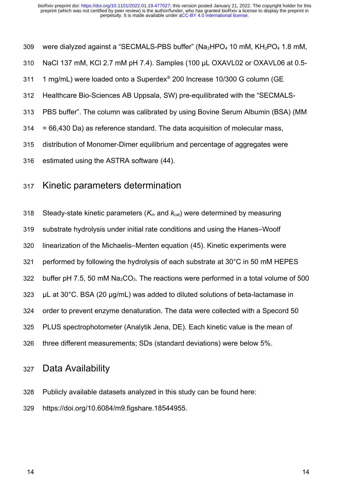were dialyzed against a "SECMALS-PBS buffer" ( $Na<sub>2</sub>HPO<sub>4</sub>$  10 mM,  $KH<sub>2</sub>PO<sub>4</sub>$  1.8 mM, 309

- NaCl 137 mM, KCl 2.7 mM pH 7.4). Samples (100 µL OXAVL02 or OXAVL06 at 0.5- 310
- 1 mg/mL) were loaded onto a Superdex® 200 Increase 10/300 G column (GE 311
- Healthcare Bio-Sciences AB Uppsala, SW) pre-equilibrated with the "SECMALS-312
- PBS buffer". The column was calibrated by using Bovine Serum Albumin (BSA) (MM 313
- = 66,430 Da) as reference standard. The data acquisition of molecular mass, 314
- distribution of Monomer-Dimer equilibrium and percentage of aggregates were 315
- estimated using the ASTRA software (44). 316

# Kinetic parameters determination 317

Steady-state kinetic parameters  $(K<sub>m</sub>$  and  $K<sub>cat</sub>)$  were determined by measuring 318

- substrate hydrolysis under initial rate conditions and using the Hanes–Woolf 319
- linearization of the Michaelis–Menten equation (45). Kinetic experiments were 320
- performed by following the hydrolysis of each substrate at 30°C in 50 mM HEPES 321
- buffer pH 7.5, 50 mM  $Na<sub>2</sub>CO<sub>3</sub>$ . The reactions were performed in a total volume of 500 322
- µL at 30°C. BSA (20 µg/mL) was added to diluted solutions of beta-lactamase in 323
- order to prevent enzyme denaturation. The data were collected with a Specord 50 324
- PLUS spectrophotometer (Analytik Jena, DE). Each kinetic value is the mean of 325
- three different measurements; SDs (standard deviations) were below 5%. 326

### Data Availability 327

- Publicly available datasets analyzed in this study can be found here: 328
- https://doi.org/10.6084/m9.figshare.18544955. 329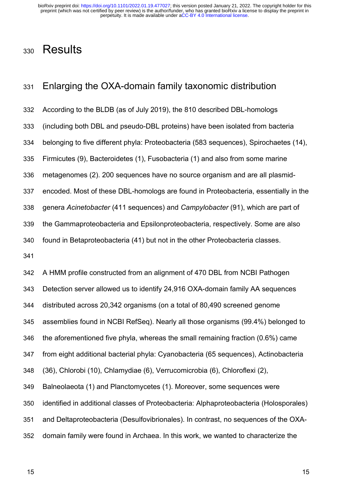# **Results** 330

# Enlarging the OXA-domain family taxonomic distribution 331

According to the BLDB (as of July 2019), the 810 described DBL-homologs (including both DBL and pseudo-DBL proteins) have been isolated from bacteria belonging to five different phyla: Proteobacteria (583 sequences), Spirochaetes (14), Firmicutes (9), Bacteroidetes (1), Fusobacteria (1) and also from some marine metagenomes (2). 200 sequences have no source organism and are all plasmidencoded. Most of these DBL-homologs are found in Proteobacteria, essentially in the genera *Acinetobacter* (411 sequences) and *Campylobacter* (91), which are part of the Gammaproteobacteria and Epsilonproteobacteria, respectively. Some are also found in Betaproteobacteria (41) but not in the other Proteobacteria classes. 332 333 334 335 336 337 338 339 340

341

A HMM profile constructed from an alignment of 470 DBL from NCBI Pathogen Detection server allowed us to identify 24,916 OXA-domain family AA sequences distributed across 20,342 organisms (on a total of 80,490 screened genome assemblies found in NCBI RefSeq). Nearly all those organisms (99.4%) belonged to the aforementioned five phyla, whereas the small remaining fraction (0.6%) came from eight additional bacterial phyla: Cyanobacteria (65 sequences), Actinobacteria (36), Chlorobi (10), Chlamydiae (6), Verrucomicrobia (6), Chloroflexi (2), Balneolaeota (1) and Planctomycetes (1). Moreover, some sequences were identified in additional classes of Proteobacteria: Alphaproteobacteria (Holosporales) and Deltaproteobacteria (Desulfovibrionales). In contrast, no sequences of the OXAdomain family were found in Archaea. In this work, we wanted to characterize the 342 343 344 345 346 347 348 349 350 351 352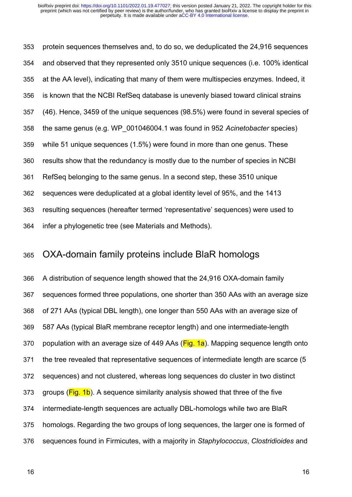protein sequences themselves and, to do so, we deduplicated the 24,916 sequences and observed that they represented only 3510 unique sequences (i.e. 100% identical at the AA level), indicating that many of them were multispecies enzymes. Indeed, it is known that the NCBI RefSeq database is unevenly biased toward clinical strains (46). Hence, 3459 of the unique sequences (98.5%) were found in several species of the same genus (e.g. WP\_001046004.1 was found in 952 *Acinetobacter* species) while 51 unique sequences (1.5%) were found in more than one genus. These results show that the redundancy is mostly due to the number of species in NCBI RefSeq belonging to the same genus. In a second step, these 3510 unique sequences were deduplicated at a global identity level of 95%, and the 1413 resulting sequences (hereafter termed 'representative' sequences) were used to infer a phylogenetic tree (see Materials and Methods). 353 354 355 356 357 358 359 360 361 362 363 364

#### OXA-domain family proteins include BlaR homologs 365

A distribution of sequence length showed that the 24,916 OXA-domain family sequences formed three populations, one shorter than 350 AAs with an average size of 271 AAs (typical DBL length), one longer than 550 AAs with an average size of 587 AAs (typical BlaR membrane receptor length) and one intermediate-length population with an average size of 449 AAs (Fig. 1a). Mapping sequence length onto the tree revealed that representative sequences of intermediate length are scarce (5 sequences) and not clustered, whereas long sequences do cluster in two distinct groups (Fig. 1b). A sequence similarity analysis showed that three of the five intermediate-length sequences are actually DBL-homologs while two are BlaR homologs. Regarding the two groups of long sequences, the larger one is formed of sequences found in Firmicutes, with a majority in *Staphylococcus*, *Clostridioides* and 366 367 368 369 370 371 372 373 374 375 376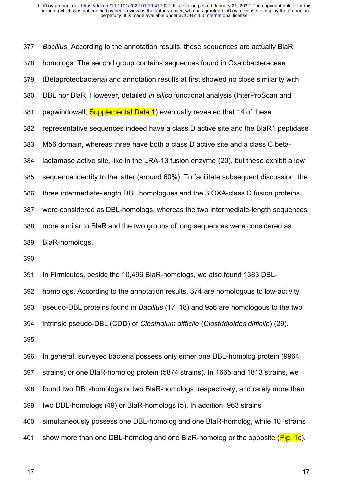*Bacillus*. According to the annotation results, these sequences are actually BlaR homologs. The second group contains sequences found in Oxalobacteraceae (Betaproteobacteria) and annotation results at first showed no close similarity with DBL nor BlaR. However, detailed *in silico* functional analysis (InterProScan and pepwindowall; Supplemental Data 1) eventually revealed that 14 of these representative sequences indeed have a class D active site and the BlaR1 peptidase M56 domain, whereas three have both a class D active site and a class C betalactamase active site, like in the LRA-13 fusion enzyme (20), but these exhibit a low sequence identity to the latter (around 60%). To facilitate subsequent discussion, the three intermediate-length DBL homologues and the 3 OXA-class C fusion proteins were considered as DBL-homologs, whereas the two intermediate-length sequences more similar to BlaR and the two groups of long sequences were considered as BlaR-homologs. 377 378 379 380 381 382 383 384 385 386 387 388 389

390

In Firmicutes, beside the 10,496 BlaR-homologs, we also found 1383 DBL-391

homologs. According to the annotation results, 374 are homologous to low-activity pseudo-DBL proteins found in *Bacillus* (17, 18) and 956 are homologous to the two 392 393

intrinsic pseudo-DBL (CDD) of *Clostridium difficile* (*Clostridioides difficile*) (29). 394

395

In general, surveyed bacteria possess only either one DBL-homolog protein (9964 strains) or one BlaR-homolog protein (5874 strains). In 1665 and 1813 strains, we found two DBL-homologs or two BlaR-homologs, respectively, and rarely more than two DBL-homologs (49) or BlaR-homologs (5). In addition, 963 strains simultaneously possess one DBL-homolog and one BlaR-homolog, while 10 strains show more than one DBL-homolog and one BlaR-homolog or the opposite ( $Fig. 1c$ ). 396 397 398 399 400 401

17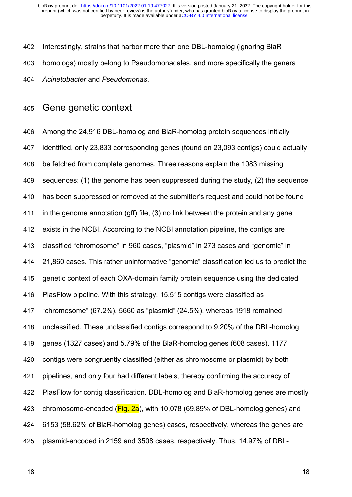Interestingly, strains that harbor more than one DBL-homolog (ignoring BlaR homologs) mostly belong to Pseudomonadales, and more specifically the genera *Acinetobacter* and *Pseudomonas*. 402 403 404

### Gene genetic context 405

Among the 24,916 DBL-homolog and BlaR-homolog protein sequences initially identified, only 23,833 corresponding genes (found on 23,093 contigs) could actually be fetched from complete genomes. Three reasons explain the 1083 missing sequences: (1) the genome has been suppressed during the study, (2) the sequence has been suppressed or removed at the submitter's request and could not be found in the genome annotation (gff) file, (3) no link between the protein and any gene exists in the NCBI. According to the NCBI annotation pipeline, the contigs are classified "chromosome" in 960 cases, "plasmid" in 273 cases and "genomic" in 21,860 cases. This rather uninformative "genomic" classification led us to predict the genetic context of each OXA-domain family protein sequence using the dedicated PlasFlow pipeline. With this strategy, 15,515 contigs were classified as "chromosome" (67.2%), 5660 as "plasmid" (24.5%), whereas 1918 remained unclassified. These unclassified contigs correspond to 9.20% of the DBL-homolog genes (1327 cases) and 5.79% of the BlaR-homolog genes (608 cases). 1177 contigs were congruently classified (either as chromosome or plasmid) by both pipelines, and only four had different labels, thereby confirming the accuracy of PlasFlow for contig classification. DBL-homolog and BlaR-homolog genes are mostly chromosome-encoded ( $Fig. 2a$ ), with 10,078 (69.89% of DBL-homolog genes) and 6153 (58.62% of BlaR-homolog genes) cases, respectively, whereas the genes are plasmid-encoded in 2159 and 3508 cases, respectively. Thus, 14.97% of DBL-406 407 408 409 410 411 412 413 414 415 416 417 418 419 420 421 422 423 424 425

18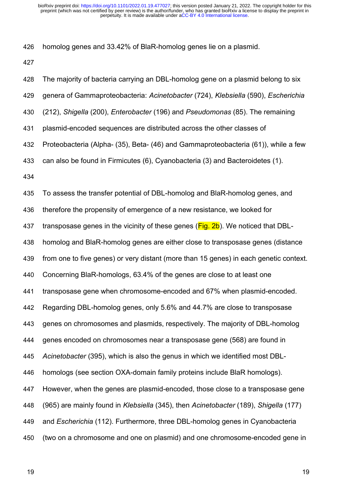homolog genes and 33.42% of BlaR-homolog genes lie on a plasmid. 426

427

The majority of bacteria carrying an DBL-homolog gene on a plasmid belong to six genera of Gammaproteobacteria: *Acinetobacter* (724), *Klebsiella* (590), *Escherichia* (212), *Shigella* (200), *Enterobacter* (196) and *Pseudomonas* (85). The remaining plasmid-encoded sequences are distributed across the other classes of Proteobacteria (Alpha- (35), Beta- (46) and Gammaproteobacteria (61)), while a few can also be found in Firmicutes (6), Cyanobacteria (3) and Bacteroidetes (1). To assess the transfer potential of DBL-homolog and BlaR-homolog genes, and therefore the propensity of emergence of a new resistance, we looked for transposase genes in the vicinity of these genes ( $Fig. 2b$ ). We noticed that DBLhomolog and BlaR-homolog genes are either close to transposase genes (distance from one to five genes) or very distant (more than 15 genes) in each genetic context. Concerning BlaR-homologs, 63.4% of the genes are close to at least one transposase gene when chromosome-encoded and 67% when plasmid-encoded. Regarding DBL-homolog genes, only 5.6% and 44.7% are close to transposase genes on chromosomes and plasmids, respectively. The majority of DBL-homolog genes encoded on chromosomes near a transposase gene (568) are found in *Acinetobacter* (395), which is also the genus in which we identified most DBLhomologs (see section OXA-domain family proteins include BlaR homologs). However, when the genes are plasmid-encoded, those close to a transposase gene (965) are mainly found in *Klebsiella* (345), then *Acinetobacter* (189), *Shigella* (177) and *Escherichia* (112). Furthermore, three DBL-homolog genes in Cyanobacteria (two on a chromosome and one on plasmid) and one chromosome-encoded gene in 428 429 430 431 432 433 434 435 436 437 438 439 440 441 442 443 444 445 446 447 448 449 450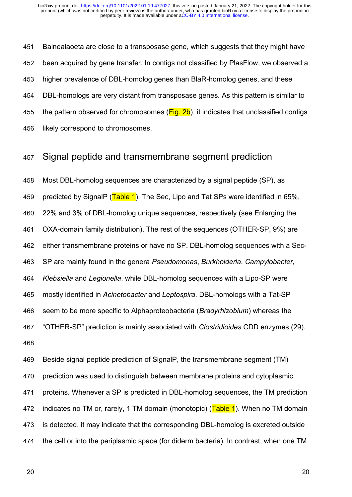Balnealaoeta are close to a transposase gene, which suggests that they might have been acquired by gene transfer. In contigs not classified by PlasFlow, we observed a higher prevalence of DBL-homolog genes than BlaR-homolog genes, and these DBL-homologs are very distant from transposase genes. As this pattern is similar to the pattern observed for chromosomes  $(Fig. 2b)$ , it indicates that unclassified contigs likely correspond to chromosomes. 451 452 453 454 455 456

### Signal peptide and transmembrane segment prediction 457

Most DBL-homolog sequences are characterized by a signal peptide (SP), as predicted by SignalP (Table 1). The Sec, Lipo and Tat SPs were identified in 65%, 22% and 3% of DBL-homolog unique sequences, respectively (see Enlarging the OXA-domain family distribution). The rest of the sequences (OTHER-SP, 9%) are either transmembrane proteins or have no SP. DBL-homolog sequences with a Sec-SP are mainly found in the genera *Pseudomonas*, *Burkholderia*, *Campylobacter*, *Klebsiella* and *Legionella*, while DBL-homolog sequences with a Lipo-SP were mostly identified in *Acinetobacter* and *Leptospira*. DBL-homologs with a Tat-SP seem to be more specific to Alphaproteobacteria (*Bradyrhizobium*) whereas the "OTHER-SP" prediction is mainly associated with *Clostridioides* CDD enzymes (29). 458 459 460 461 462 463 464 465 466 467 468

Beside signal peptide prediction of SignalP, the transmembrane segment (TM) prediction was used to distinguish between membrane proteins and cytoplasmic proteins. Whenever a SP is predicted in DBL-homolog sequences, the TM prediction indicates no TM or, rarely, 1 TM domain (monotopic) ( $Table 1$ ). When no TM domain is detected, it may indicate that the corresponding DBL-homolog is excreted outside the cell or into the periplasmic space (for diderm bacteria). In contrast, when one TM 469 470 471 472 473 474

20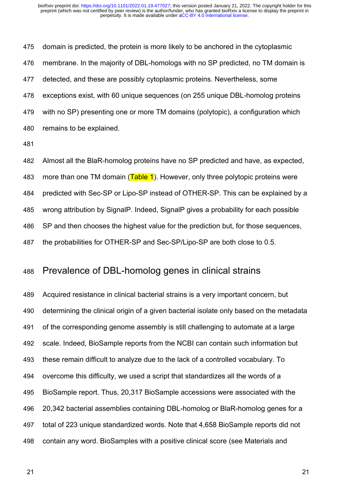domain is predicted, the protein is more likely to be anchored in the cytoplasmic membrane. In the majority of DBL-homologs with no SP predicted, no TM domain is detected, and these are possibly cytoplasmic proteins. Nevertheless, some exceptions exist, with 60 unique sequences (on 255 unique DBL-homolog proteins with no SP) presenting one or more TM domains (polytopic), a configuration which remains to be explained. 475 476 477 478 479 480

481

Almost all the BlaR-homolog proteins have no SP predicted and have, as expected, more than one TM domain  $(Table 1)$ . However, only three polytopic proteins were predicted with Sec-SP or Lipo-SP instead of OTHER-SP. This can be explained by a wrong attribution by SignalP. Indeed, SignalP gives a probability for each possible SP and then chooses the highest value for the prediction but, for those sequences, the probabilities for OTHER-SP and Sec-SP/Lipo-SP are both close to 0.5. 482 483 484 485 486 487

# Prevalence of DBL-homolog genes in clinical strains 488

Acquired resistance in clinical bacterial strains is a very important concern, but determining the clinical origin of a given bacterial isolate only based on the metadata of the corresponding genome assembly is still challenging to automate at a large scale. Indeed, BioSample reports from the NCBI can contain such information but these remain difficult to analyze due to the lack of a controlled vocabulary. To overcome this difficulty, we used a script that standardizes all the words of a BioSample report. Thus, 20,317 BioSample accessions were associated with the 20,342 bacterial assemblies containing DBL-homolog or BlaR-homolog genes for a total of 223 unique standardized words. Note that 4,658 BioSample reports did not contain any word. BioSamples with a positive clinical score (see Materials and 489 490 491 492 493 494 495 496 497 498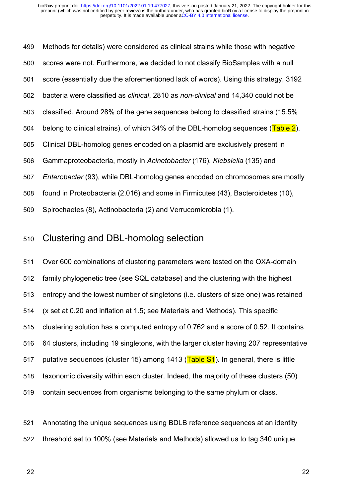Methods for details) were considered as clinical strains while those with negative scores were not. Furthermore, we decided to not classify BioSamples with a null score (essentially due the aforementioned lack of words). Using this strategy, 3192 bacteria were classified as *clinical*, 2810 as *non-clinical* and 14,340 could not be classified. Around 28% of the gene sequences belong to classified strains (15.5% belong to clinical strains), of which 34% of the DBL-homolog sequences (Table 2). Clinical DBL-homolog genes encoded on a plasmid are exclusively present in Gammaproteobacteria, mostly in *Acinetobacter* (176), *Klebsiella* (135) and *Enterobacter* (93), while DBL-homolog genes encoded on chromosomes are mostly found in Proteobacteria (2,016) and some in Firmicutes (43), Bacteroidetes (10), Spirochaetes (8), Actinobacteria (2) and Verrucomicrobia (1). 499 500 501 502 503 504 505 506 507 508 509

### Clustering and DBL-homolog selection 510

Over 600 combinations of clustering parameters were tested on the OXA-domain family phylogenetic tree (see SQL database) and the clustering with the highest entropy and the lowest number of singletons (i.e. clusters of size one) was retained (x set at 0.20 and inflation at 1.5; see Materials and Methods). This specific clustering solution has a computed entropy of 0.762 and a score of 0.52. It contains 64 clusters, including 19 singletons, with the larger cluster having 207 representative putative sequences (cluster 15) among 1413 (Table S1). In general, there is little taxonomic diversity within each cluster. Indeed, the majority of these clusters (50) contain sequences from organisms belonging to the same phylum or class. 511 512 513 514 515 516 517 518 519

Annotating the unique sequences using BDLB reference sequences at an identity threshold set to 100% (see Materials and Methods) allowed us to tag 340 unique 521 522

22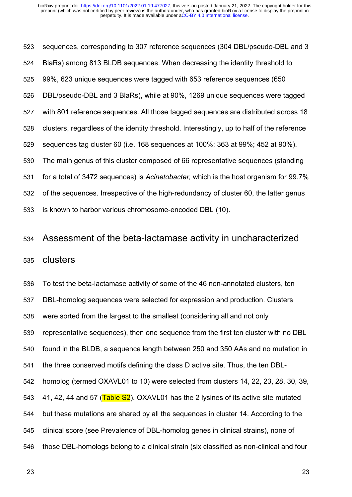sequences, corresponding to 307 reference sequences (304 DBL/pseudo-DBL and 3 BlaRs) among 813 BLDB sequences. When decreasing the identity threshold to 99%, 623 unique sequences were tagged with 653 reference sequences (650 DBL/pseudo-DBL and 3 BlaRs), while at 90%, 1269 unique sequences were tagged with 801 reference sequences. All those tagged sequences are distributed across 18 clusters, regardless of the identity threshold. Interestingly, up to half of the reference sequences tag cluster 60 (i.e. 168 sequences at 100%; 363 at 99%; 452 at 90%). The main genus of this cluster composed of 66 representative sequences (standing for a total of 3472 sequences) is *Acinetobacter,* which is the host organism for 99.7% of the sequences. Irrespective of the high-redundancy of cluster 60, the latter genus is known to harbor various chromosome-encoded DBL (10). 523 524 525 526 527 528 529 530 531 532 533

#### Assessment of the beta-lactamase activity in uncharacterized 534

#### clusters 535

To test the beta-lactamase activity of some of the 46 non-annotated clusters, ten DBL-homolog sequences were selected for expression and production. Clusters were sorted from the largest to the smallest (considering all and not only representative sequences), then one sequence from the first ten cluster with no DBL found in the BLDB, a sequence length between 250 and 350 AAs and no mutation in the three conserved motifs defining the class D active site. Thus, the ten DBLhomolog (termed OXAVL01 to 10) were selected from clusters 14, 22, 23, 28, 30, 39, 41, 42, 44 and 57 (Table S2). OXAVL01 has the 2 lysines of its active site mutated but these mutations are shared by all the sequences in cluster 14. According to the clinical score (see Prevalence of DBL-homolog genes in clinical strains), none of those DBL-homologs belong to a clinical strain (six classified as non-clinical and four 536 537 538 539 540 541 542 543 544 545 546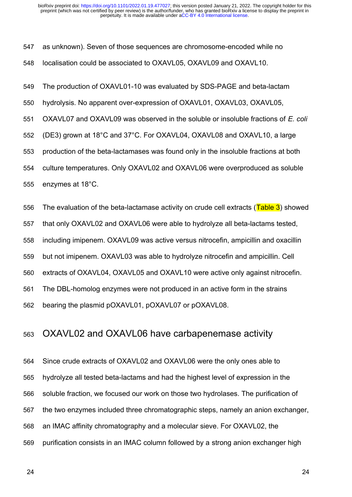as unknown). Seven of those sequences are chromosome-encoded while no localisation could be associated to OXAVL05, OXAVL09 and OXAVL10. 547 548

The production of OXAVL01-10 was evaluated by SDS-PAGE and beta-lactam 549

hydrolysis. No apparent over-expression of OXAVL01, OXAVL03, OXAVL05, 550

OXAVL07 and OXAVL09 was observed in the soluble or insoluble fractions of *E. coli*  551

(DE3) grown at 18°C and 37°C. For OXAVL04, OXAVL08 and OXAVL10, a large 552

production of the beta-lactamases was found only in the insoluble fractions at both 553

culture temperatures. Only OXAVL02 and OXAVL06 were overproduced as soluble 554

enzymes at 18°C. 555

The evaluation of the beta-lactamase activity on crude cell extracts (Table 3) showed 556

that only OXAVL02 and OXAVL06 were able to hydrolyze all beta-lactams tested, 557

including imipenem. OXAVL09 was active versus nitrocefin, ampicillin and oxacillin 558

but not imipenem. OXAVL03 was able to hydrolyze nitrocefin and ampicillin. Cell 559

extracts of OXAVL04, OXAVL05 and OXAVL10 were active only against nitrocefin. 560

The DBL-homolog enzymes were not produced in an active form in the strains 561

bearing the plasmid pOXAVL01, pOXAVL07 or pOXAVL08. 562

# OXAVL02 and OXAVL06 have carbapenemase activity 563

Since crude extracts of OXAVL02 and OXAVL06 were the only ones able to hydrolyze all tested beta-lactams and had the highest level of expression in the soluble fraction, we focused our work on those two hydrolases. The purification of the two enzymes included three chromatographic steps, namely an anion exchanger, an IMAC affinity chromatography and a molecular sieve. For OXAVL02, the purification consists in an IMAC column followed by a strong anion exchanger high 564 565 566 567 568 569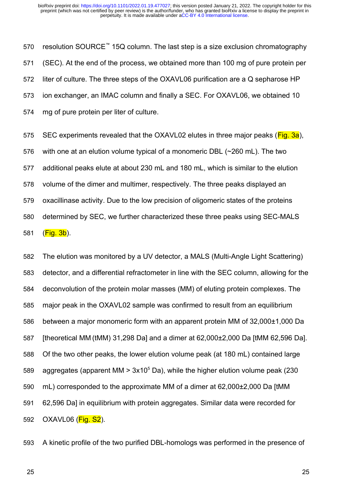resolution SOURCE™ 15Q column. The last step is a size exclusion chromatography (SEC). At the end of the process, we obtained more than 100 mg of pure protein per liter of culture. The three steps of the OXAVL06 purification are a Q sepharose HP ion exchanger, an IMAC column and finally a SEC. For OXAVL06, we obtained 10 mg of pure protein per liter of culture. 570 571 572 573 574

SEC experiments revealed that the OXAVL02 elutes in three major peaks (Fig. 3a), with one at an elution volume typical of a monomeric DBL (~260 mL). The two additional peaks elute at about 230 mL and 180 mL, which is similar to the elution volume of the dimer and multimer, respectively. The three peaks displayed an oxacillinase activity. Due to the low precision of oligomeric states of the proteins determined by SEC, we further characterized these three peaks using SEC-MALS  $(Fig. 3b)$ . 575 576 577 578 579 580 581

The elution was monitored by a UV detector, a MALS (Multi-Angle Light Scattering) detector, and a differential refractometer in line with the SEC column, allowing for the deconvolution of the protein molar masses (MM) of eluting protein complexes. The major peak in the OXAVL02 sample was confirmed to result from an equilibrium between a major monomeric form with an apparent protein MM of 32,000±1,000 Da [theoretical MM (tMM) 31,298 Da] and a dimer at 62,000±2,000 Da [tMM 62,596 Da]. Of the two other peaks, the lower elution volume peak (at 180 mL) contained large aggregates (apparent MM  $> 3x10^5$  Da), while the higher elution volume peak (230 mL) corresponded to the approximate MM of a dimer at 62,000±2,000 Da [tMM 62,596 Da] in equilibrium with protein aggregates. Similar data were recorded for  $OXAVL06 (Fig. S2).$ 582 583 584 585 586 587 588 589 590 591 592

A kinetic profile of the two purified DBL-homologs was performed in the presence of 593

25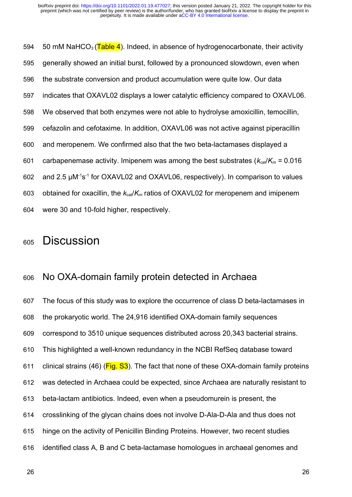50 mM NaHCO<sub>3</sub> (Table 4). Indeed, in absence of hydrogenocarbonate, their activity generally showed an initial burst, followed by a pronounced slowdown, even when the substrate conversion and product accumulation were quite low. Our data indicates that OXAVL02 displays a lower catalytic efficiency compared to OXAVL06. We observed that both enzymes were not able to hydrolyse amoxicillin, temocillin, cefazolin and cefotaxime. In addition, OXAVL06 was not active against piperacillin and meropenem. We confirmed also that the two beta-lactamases displayed a carbapenemase activity. Imipenem was among the best substrates ( $k_{\text{cat}}/K_m = 0.016$ ) and 2.5  $\mu$ M<sup>-1</sup>s<sup>-1</sup> for OXAVL02 and OXAVL06, respectively). In comparison to values obtained for oxacillin, the  $k_{cat}/K_m$  ratios of OXAVL02 for meropenem and imipenem were 30 and 10-fold higher, respectively. 594 595 596 597 598 599 600 601 602 603 604

# **Discussion** 605

# No OXA-domain family protein detected in Archaea 606

The focus of this study was to explore the occurrence of class D beta-lactamases in the prokaryotic world. The 24,916 identified OXA-domain family sequences correspond to 3510 unique sequences distributed across 20,343 bacterial strains. This highlighted a well-known redundancy in the NCBI RefSeq database toward clinical strains (46) ( $Fig. S3$ ). The fact that none of these OXA-domain family proteins was detected in Archaea could be expected, since Archaea are naturally resistant to beta-lactam antibiotics. Indeed, even when a pseudomurein is present, the crosslinking of the glycan chains does not involve D-Ala-D-Ala and thus does not hinge on the activity of Penicillin Binding Proteins. However, two recent studies identified class A, B and C beta-lactamase homologues in archaeal genomes and 607 608 609 610 611 612 613 614 615 616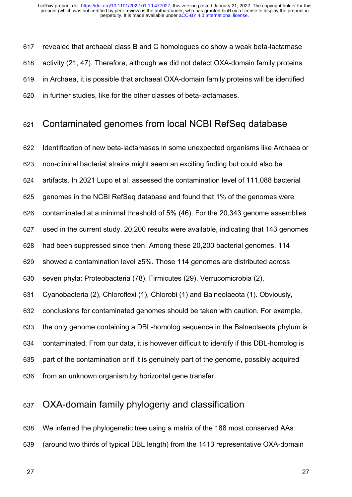revealed that archaeal class B and C homologues do show a weak beta-lactamase activity (21, 47). Therefore, although we did not detect OXA-domain family proteins in Archaea, it is possible that archaeal OXA-domain family proteins will be identified in further studies, like for the other classes of beta-lactamases. 617 618 619 620

### Contaminated genomes from local NCBI RefSeq database 621

Identification of new beta-lactamases in some unexpected organisms like Archaea or non-clinical bacterial strains might seem an exciting finding but could also be artifacts. In 2021 Lupo et al. assessed the contamination level of 111,088 bacterial genomes in the NCBI RefSeq database and found that 1% of the genomes were contaminated at a minimal threshold of 5% (46). For the 20,343 genome assemblies used in the current study, 20,200 results were available, indicating that 143 genomes had been suppressed since then. Among these 20,200 bacterial genomes, 114 showed a contamination level ≥5%. Those 114 genomes are distributed across seven phyla: Proteobacteria (78), Firmicutes (29), Verrucomicrobia (2), Cyanobacteria (2), Chloroflexi (1), Chlorobi (1) and Balneolaeota (1). Obviously, conclusions for contaminated genomes should be taken with caution. For example, the only genome containing a DBL-homolog sequence in the Balneolaeota phylum is contaminated. From our data, it is however difficult to identify if this DBL-homolog is part of the contamination or if it is genuinely part of the genome, possibly acquired from an unknown organism by horizontal gene transfer. 622 623 624 625 626 627 628 629 630 631 632 633 634 635 636

# OXA-domain family phylogeny and classification 637

We inferred the phylogenetic tree using a matrix of the 188 most conserved AAs (around two thirds of typical DBL length) from the 1413 representative OXA-domain 638 639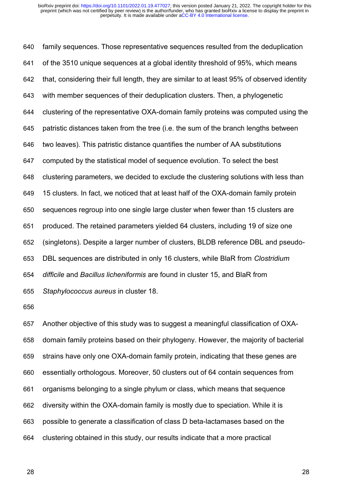family sequences. Those representative sequences resulted from the deduplication of the 3510 unique sequences at a global identity threshold of 95%, which means that, considering their full length, they are similar to at least 95% of observed identity with member sequences of their deduplication clusters. Then, a phylogenetic clustering of the representative OXA-domain family proteins was computed using the patristic distances taken from the tree (i.e. the sum of the branch lengths between two leaves). This patristic distance quantifies the number of AA substitutions computed by the statistical model of sequence evolution. To select the best clustering parameters, we decided to exclude the clustering solutions with less than 15 clusters. In fact, we noticed that at least half of the OXA-domain family protein sequences regroup into one single large cluster when fewer than 15 clusters are produced. The retained parameters yielded 64 clusters, including 19 of size one (singletons). Despite a larger number of clusters, BLDB reference DBL and pseudo-DBL sequences are distributed in only 16 clusters, while BlaR from *Clostridium difficile* and *Bacillus licheniformis* are found in cluster 15, and BlaR from *Staphylococcus aureus* in cluster 18. 640 641 642 643 644 645 646 647 648 649 650 651 652 653 654 655

656

Another objective of this study was to suggest a meaningful classification of OXAdomain family proteins based on their phylogeny. However, the majority of bacterial strains have only one OXA-domain family protein, indicating that these genes are essentially orthologous. Moreover, 50 clusters out of 64 contain sequences from organisms belonging to a single phylum or class, which means that sequence diversity within the OXA-domain family is mostly due to speciation. While it is possible to generate a classification of class D beta-lactamases based on the clustering obtained in this study, our results indicate that a more practical 657 658 659 660 661 662 663 664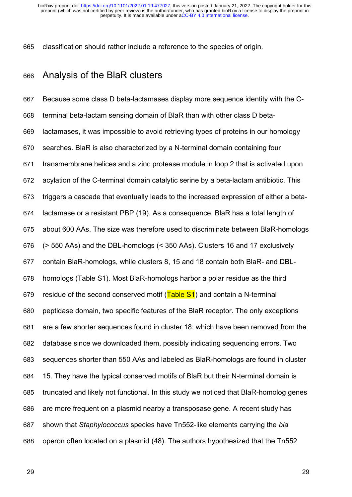classification should rather include a reference to the species of origin. 665

# Analysis of the BlaR clusters 666

Because some class D beta-lactamases display more sequence identity with the Cterminal beta-lactam sensing domain of BlaR than with other class D betalactamases, it was impossible to avoid retrieving types of proteins in our homology searches. BlaR is also characterized by a N-terminal domain containing four transmembrane helices and a zinc protease module in loop 2 that is activated upon acylation of the C-terminal domain catalytic serine by a beta-lactam antibiotic. This triggers a cascade that eventually leads to the increased expression of either a betalactamase or a resistant PBP (19). As a consequence, BlaR has a total length of about 600 AAs. The size was therefore used to discriminate between BlaR-homologs (> 550 AAs) and the DBL-homologs (< 350 AAs). Clusters 16 and 17 exclusively contain BlaR-homologs, while clusters 8, 15 and 18 contain both BlaR- and DBLhomologs (Table S1). Most BlaR-homologs harbor a polar residue as the third residue of the second conserved motif (Table S1) and contain a N-terminal peptidase domain, two specific features of the BlaR receptor. The only exceptions are a few shorter sequences found in cluster 18; which have been removed from the database since we downloaded them, possibly indicating sequencing errors. Two sequences shorter than 550 AAs and labeled as BlaR-homologs are found in cluster 15. They have the typical conserved motifs of BlaR but their N-terminal domain is truncated and likely not functional. In this study we noticed that BlaR-homolog genes are more frequent on a plasmid nearby a transposase gene. A recent study has shown that *Staphylococcus* species have Tn552-like elements carrying the *bla* operon often located on a plasmid (48). The authors hypothesized that the Tn552 667 668 669 670 671 672 673 674 675 676 677 678 679 680 681 682 683 684 685 686 687 688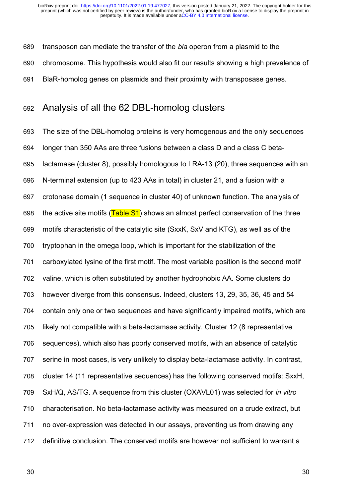transposon can mediate the transfer of the *bla* operon from a plasmid to the 689

chromosome. This hypothesis would also fit our results showing a high prevalence of 690

BlaR-homolog genes on plasmids and their proximity with transposase genes. 691

# Analysis of all the 62 DBL-homolog clusters 692

The size of the DBL-homolog proteins is very homogenous and the only sequences longer than 350 AAs are three fusions between a class D and a class C betalactamase (cluster 8), possibly homologous to LRA-13 (20), three sequences with an N-terminal extension (up to 423 AAs in total) in cluster 21, and a fusion with a crotonase domain (1 sequence in cluster 40) of unknown function. The analysis of the active site motifs ( $Table S1$ ) shows an almost perfect conservation of the three motifs characteristic of the catalytic site (SxxK, SxV and KTG), as well as of the tryptophan in the omega loop, which is important for the stabilization of the carboxylated lysine of the first motif. The most variable position is the second motif valine, which is often substituted by another hydrophobic AA. Some clusters do however diverge from this consensus. Indeed, clusters 13, 29, 35, 36, 45 and 54 contain only one or two sequences and have significantly impaired motifs, which are likely not compatible with a beta-lactamase activity. Cluster 12 (8 representative sequences), which also has poorly conserved motifs, with an absence of catalytic serine in most cases, is very unlikely to display beta-lactamase activity. In contrast, cluster 14 (11 representative sequences) has the following conserved motifs: SxxH, SxH/Q, AS/TG. A sequence from this cluster (OXAVL01) was selected for *in vitro* characterisation. No beta-lactamase activity was measured on a crude extract, but no over-expression was detected in our assays, preventing us from drawing any definitive conclusion. The conserved motifs are however not sufficient to warrant a 693 694 695 696 697 698 699 700 701 702 703 704 705 706 707 708 709 710 711 712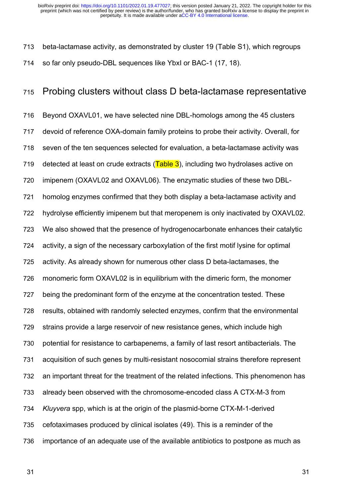beta-lactamase activity, as demonstrated by cluster 19 (Table S1), which regroups so far only pseudo-DBL sequences like YbxI or BAC-1 (17, 18). 713 714

### Probing clusters without class D beta-lactamase representative 715

Beyond OXAVL01, we have selected nine DBL-homologs among the 45 clusters devoid of reference OXA-domain family proteins to probe their activity. Overall, for seven of the ten sequences selected for evaluation, a beta-lactamase activity was detected at least on crude extracts  $(Table 3)$ , including two hydrolases active on imipenem (OXAVL02 and OXAVL06). The enzymatic studies of these two DBLhomolog enzymes confirmed that they both display a beta-lactamase activity and hydrolyse efficiently imipenem but that meropenem is only inactivated by OXAVL02. We also showed that the presence of hydrogenocarbonate enhances their catalytic activity, a sign of the necessary carboxylation of the first motif lysine for optimal activity. As already shown for numerous other class D beta-lactamases, the monomeric form OXAVL02 is in equilibrium with the dimeric form, the monomer being the predominant form of the enzyme at the concentration tested. These results, obtained with randomly selected enzymes, confirm that the environmental strains provide a large reservoir of new resistance genes, which include high potential for resistance to carbapenems, a family of last resort antibacterials. The acquisition of such genes by multi-resistant nosocomial strains therefore represent an important threat for the treatment of the related infections. This phenomenon has already been observed with the chromosome-encoded class A CTX-M-3 from *Kluyvera* spp, which is at the origin of the plasmid-borne CTX-M-1-derived cefotaximases produced by clinical isolates (49). This is a reminder of the importance of an adequate use of the available antibiotics to postpone as much as 716 717 718 719 720 721 722 723 724 725 726 727 728 729 730 731 732 733 734 735 736

31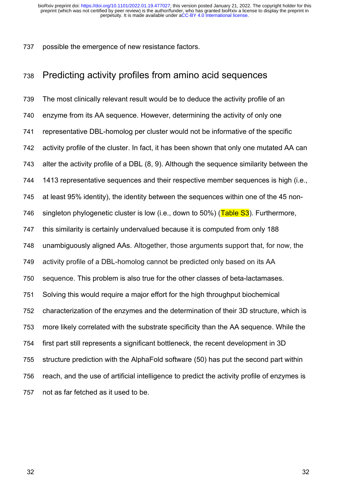possible the emergence of new resistance factors. 737

# Predicting activity profiles from amino acid sequences 738

The most clinically relevant result would be to deduce the activity profile of an enzyme from its AA sequence. However, determining the activity of only one representative DBL-homolog per cluster would not be informative of the specific activity profile of the cluster. In fact, it has been shown that only one mutated AA can alter the activity profile of a DBL (8, 9). Although the sequence similarity between the 1413 representative sequences and their respective member sequences is high (i.e., at least 95% identity), the identity between the sequences within one of the 45 nonsingleton phylogenetic cluster is low (i.e., down to  $50\%$ ) (Table  $S3$ ). Furthermore, this similarity is certainly undervalued because it is computed from only 188 unambiguously aligned AAs. Altogether, those arguments support that, for now, the activity profile of a DBL-homolog cannot be predicted only based on its AA sequence. This problem is also true for the other classes of beta-lactamases. Solving this would require a major effort for the high throughput biochemical characterization of the enzymes and the determination of their 3D structure, which is more likely correlated with the substrate specificity than the AA sequence. While the first part still represents a significant bottleneck, the recent development in 3D structure prediction with the AlphaFold software (50) has put the second part within reach, and the use of artificial intelligence to predict the activity profile of enzymes is not as far fetched as it used to be. 739 740 741 742 743 744 745 746 747 748 749 750 751 752 753 754 755 756 757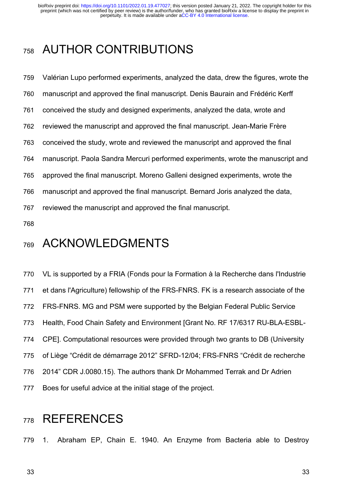# AUTHOR CONTRIBUTIONS 758

Valérian Lupo performed experiments, analyzed the data, drew the figures, wrote the manuscript and approved the final manuscript. Denis Baurain and Frédéric Kerff conceived the study and designed experiments, analyzed the data, wrote and reviewed the manuscript and approved the final manuscript. Jean-Marie Frère conceived the study, wrote and reviewed the manuscript and approved the final manuscript. Paola Sandra Mercuri performed experiments, wrote the manuscript and approved the final manuscript. Moreno Galleni designed experiments, wrote the manuscript and approved the final manuscript. Bernard Joris analyzed the data, reviewed the manuscript and approved the final manuscript. 759 760 761 762 763 764 765 766 767

768

# ACKNOWLEDGMENTS 769

VL is supported by a FRIA (Fonds pour la Formation à la Recherche dans l'Industrie et dans l'Agriculture) fellowship of the FRS-FNRS. FK is a research associate of the FRS-FNRS. MG and PSM were supported by the Belgian Federal Public Service Health, Food Chain Safety and Environment [Grant No. RF 17/6317 RU-BLA-ESBL-CPE]. Computational resources were provided through two grants to DB (University of Liège "Crédit de démarrage 2012" SFRD-12/04; FRS-FNRS "Crédit de recherche 2014" CDR J.0080.15). The authors thank Dr Mohammed Terrak and Dr Adrien Boes for useful advice at the initial stage of the project. 770 771 772 773 774 775 776 777

# **REFERENCES** 778

1. Abraham EP, Chain E. 1940. An Enzyme from Bacteria able to Destroy 779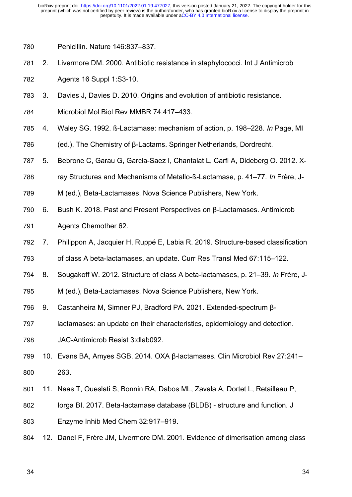Penicillin. Nature 146:837–837. 780

2. Livermore DM. 2000. Antibiotic resistance in staphylococci. Int J Antimicrob 781

Agents 16 Suppl 1:S3-10. 782

- 3. Davies J, Davies D. 2010. Origins and evolution of antibiotic resistance. 783
- Microbiol Mol Biol Rev MMBR 74:417–433. 784
- 4. Waley SG. 1992. ß-Lactamase: mechanism of action, p. 198–228. *In* Page, MI 785

(ed.), The Chemistry of β-Lactams. Springer Netherlands, Dordrecht. 786

5. Bebrone C, Garau G, Garcia-Saez I, Chantalat L, Carfi A, Dideberg O. 2012. X-787

- ray Structures and Mechanisms of Metallo-ß-Lactamase, p. 41–77. *In* Frère, J-788
- M (ed.), Beta-Lactamases. Nova Science Publishers, New York. 789
- 6. Bush K. 2018. Past and Present Perspectives on β-Lactamases. Antimicrob 790
- Agents Chemother 62. 791
- 7. Philippon A, Jacquier H, Ruppé E, Labia R. 2019. Structure-based classification 792
- of class A beta-lactamases, an update. Curr Res Transl Med 67:115–122. 793
- 8. Sougakoff W. 2012. Structure of class A beta-lactamases, p. 21–39. *In* Frère, J-794
- M (ed.), Beta-Lactamases. Nova Science Publishers, New York. 795
- 9. Castanheira M, Simner PJ, Bradford PA. 2021. Extended-spectrum β-796
- lactamases: an update on their characteristics, epidemiology and detection. 797
- JAC-Antimicrob Resist 3:dlab092. 798
- 10. Evans BA, Amyes SGB. 2014. OXA β-lactamases. Clin Microbiol Rev 27:241– 263. 799 800
- 11. Naas T, Oueslati S, Bonnin RA, Dabos ML, Zavala A, Dortet L, Retailleau P, 801
- Iorga BI. 2017. Beta-lactamase database (BLDB) structure and function. J 802
- Enzyme Inhib Med Chem 32:917–919. 803
- 12. Danel F, Frère JM, Livermore DM. 2001. Evidence of dimerisation among class 804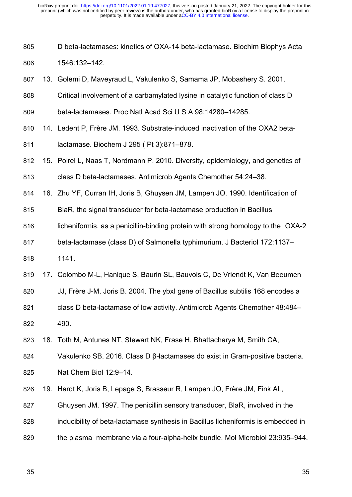D beta-lactamases: kinetics of OXA-14 beta-lactamase. Biochim Biophys Acta 805

1546:132–142. 806

- 13. Golemi D, Maveyraud L, Vakulenko S, Samama JP, Mobashery S. 2001. 807
- Critical involvement of a carbamylated lysine in catalytic function of class D 808
- beta-lactamases. Proc Natl Acad Sci U S A 98:14280–14285. 809
- 14. Ledent P, Frère JM. 1993. Substrate-induced inactivation of the OXA2 beta-810
- lactamase. Biochem J 295 ( Pt 3):871–878. 811
- 15. Poirel L, Naas T, Nordmann P. 2010. Diversity, epidemiology, and genetics of 812
- class D beta-lactamases. Antimicrob Agents Chemother 54:24–38. 813
- 16. Zhu YF, Curran IH, Joris B, Ghuysen JM, Lampen JO. 1990. Identification of 814
- BlaR, the signal transducer for beta-lactamase production in Bacillus 815
- licheniformis, as a penicillin-binding protein with strong homology to the OXA-2 816
- beta-lactamase (class D) of Salmonella typhimurium. J Bacteriol 172:1137– 817
- 1141. 818
- 17. Colombo M-L, Hanique S, Baurin SL, Bauvois C, De Vriendt K, Van Beeumen 819
- JJ, Frère J-M, Joris B. 2004. The ybxI gene of Bacillus subtilis 168 encodes a 820
- class D beta-lactamase of low activity. Antimicrob Agents Chemother 48:484– 490. 821 822
- 18. Toth M, Antunes NT, Stewart NK, Frase H, Bhattacharya M, Smith CA, 823
- Vakulenko SB. 2016. Class D β-lactamases do exist in Gram-positive bacteria. 824
- Nat Chem Biol 12:9–14. 825
- 19. Hardt K, Joris B, Lepage S, Brasseur R, Lampen JO, Frère JM, Fink AL, 826
- Ghuysen JM. 1997. The penicillin sensory transducer, BlaR, involved in the 827
- inducibility of beta-lactamase synthesis in Bacillus licheniformis is embedded in 828
- the plasma membrane via a four-alpha-helix bundle. Mol Microbiol 23:935–944. 829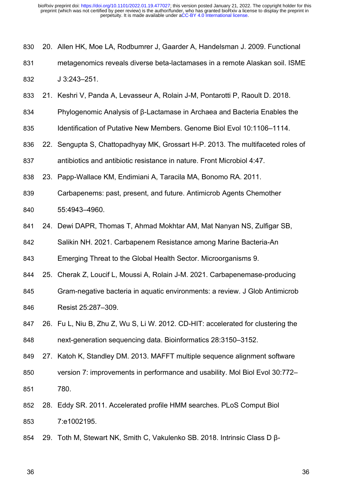20. Allen HK, Moe LA, Rodbumrer J, Gaarder A, Handelsman J. 2009. Functional 830

- metagenomics reveals diverse beta-lactamases in a remote Alaskan soil. ISME J 3:243–251. 831 832
- 21. Keshri V, Panda A, Levasseur A, Rolain J-M, Pontarotti P, Raoult D. 2018. 833
- Phylogenomic Analysis of β-Lactamase in Archaea and Bacteria Enables the 834
- Identification of Putative New Members. Genome Biol Evol 10:1106–1114. 835
- 22. Sengupta S, Chattopadhyay MK, Grossart H-P. 2013. The multifaceted roles of 836

antibiotics and antibiotic resistance in nature. Front Microbiol 4:47. 837

23. Papp-Wallace KM, Endimiani A, Taracila MA, Bonomo RA. 2011. 838

Carbapenems: past, present, and future. Antimicrob Agents Chemother 55:4943–4960. 839 840

24. Dewi DAPR, Thomas T, Ahmad Mokhtar AM, Mat Nanyan NS, Zulfigar SB, 841

Salikin NH. 2021. Carbapenem Resistance among Marine Bacteria-An 842

Emerging Threat to the Global Health Sector. Microorganisms 9. 843

25. Cherak Z, Loucif L, Moussi A, Rolain J-M. 2021. Carbapenemase-producing 844

Gram-negative bacteria in aquatic environments: a review. J Glob Antimicrob Resist 25:287–309. 845 846

26. Fu L, Niu B, Zhu Z, Wu S, Li W. 2012. CD-HIT: accelerated for clustering the next-generation sequencing data. Bioinformatics 28:3150–3152. 847 848

27. Katoh K, Standley DM. 2013. MAFFT multiple sequence alignment software 849

- version 7: improvements in performance and usability. Mol Biol Evol 30:772– 780. 850 851
- 28. Eddy SR. 2011. Accelerated profile HMM searches. PLoS Comput Biol 7:e1002195. 852 853
- 29. Toth M, Stewart NK, Smith C, Vakulenko SB. 2018. Intrinsic Class D β-854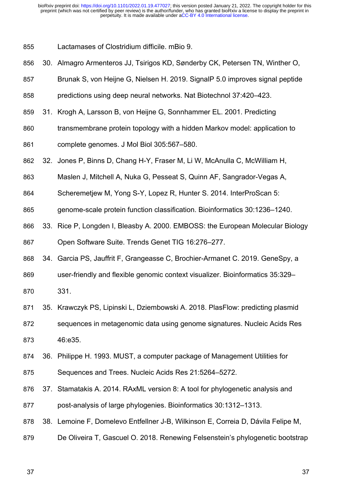Lactamases of Clostridium difficile. mBio 9. 855

- 30. Almagro Armenteros JJ, Tsirigos KD, Sønderby CK, Petersen TN, Winther O, 856
- Brunak S, von Heijne G, Nielsen H. 2019. SignalP 5.0 improves signal peptide 857
- predictions using deep neural networks. Nat Biotechnol 37:420–423. 858
- 31. Krogh A, Larsson B, von Heijne G, Sonnhammer EL. 2001. Predicting 859
- transmembrane protein topology with a hidden Markov model: application to 860
- complete genomes. J Mol Biol 305:567–580. 861
- 32. Jones P, Binns D, Chang H-Y, Fraser M, Li W, McAnulla C, McWilliam H, 862
- Maslen J, Mitchell A, Nuka G, Pesseat S, Quinn AF, Sangrador-Vegas A, 863
- Scheremetiew M, Yong S-Y, Lopez R, Hunter S, 2014. InterProScan 5: 864
- genome-scale protein function classification. Bioinformatics 30:1236–1240. 865
- 33. Rice P, Longden I, Bleasby A. 2000. EMBOSS: the European Molecular Biology 866
- Open Software Suite. Trends Genet TIG 16:276–277. 867
- 34. Garcia PS, Jauffrit F, Grangeasse C, Brochier-Armanet C. 2019. GeneSpy, a 868
- user-friendly and flexible genomic context visualizer. Bioinformatics 35:329– 869
- 331. 870
- 35. Krawczyk PS, Lipinski L, Dziembowski A. 2018. PlasFlow: predicting plasmid 871
- sequences in metagenomic data using genome signatures. Nucleic Acids Res 46:e35. 872 873
- 36. Philippe H. 1993. MUST, a computer package of Management Utilities for 874
- Sequences and Trees. Nucleic Acids Res 21:5264–5272. 875
- 37. Stamatakis A. 2014. RAxML version 8: A tool for phylogenetic analysis and 876
- post-analysis of large phylogenies. Bioinformatics 30:1312–1313. 877
- 38. Lemoine F, Domelevo Entfellner J-B, Wilkinson E, Correia D, Dávila Felipe M, 878
- De Oliveira T, Gascuel O. 2018. Renewing Felsenstein's phylogenetic bootstrap 879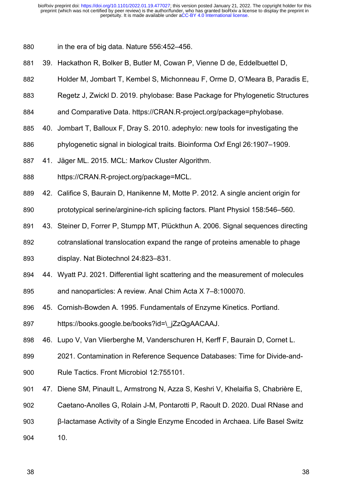in the era of big data. Nature 556:452–456. 880

- 39. Hackathon R, Bolker B, Butler M, Cowan P, Vienne D de, Eddelbuettel D, 881
- Holder M, Jombart T, Kembel S, Michonneau F, Orme D, O'Meara B, Paradis E, 882
- Regetz J, Zwickl D. 2019. phylobase: Base Package for Phylogenetic Structures 883
- and Comparative Data. https://CRAN.R-project.org/package=phylobase. 884
- 40. Jombart T, Balloux F, Dray S. 2010. adephylo: new tools for investigating the 885
- phylogenetic signal in biological traits. Bioinforma Oxf Engl 26:1907–1909. 886
- 41. Jäger ML. 2015. MCL: Markov Cluster Algorithm. 887
- https://CRAN.R-project.org/package=MCL. 888
- 42. Califice S, Baurain D, Hanikenne M, Motte P. 2012. A single ancient origin for 889
- prototypical serine/arginine-rich splicing factors. Plant Physiol 158:546–560. 890
- 43. Steiner D, Forrer P, Stumpp MT, Plückthun A. 2006. Signal sequences directing 891
- cotranslational translocation expand the range of proteins amenable to phage 892
- display. Nat Biotechnol 24:823–831. 893
- 44. Wyatt PJ. 2021. Differential light scattering and the measurement of molecules 894
- and nanoparticles: A review. Anal Chim Acta X 7–8:100070. 895
- 45. Cornish-Bowden A. 1995. Fundamentals of Enzyme Kinetics. Portland. 896
- https://books.google.be/books?id=\\_jZzQgAACAAJ. 897
- 46. Lupo V, Van Vlierberghe M, Vanderschuren H, Kerff F, Baurain D, Cornet L. 898
- 2021. Contamination in Reference Sequence Databases: Time for Divide-and-899
- Rule Tactics. Front Microbiol 12:755101. 900
- 47. Diene SM, Pinault L, Armstrong N, Azza S, Keshri V, Khelaifia S, Chabrière E, 901
- Caetano-Anolles G, Rolain J-M, Pontarotti P, Raoult D. 2020. Dual RNase and 902
- β-lactamase Activity of a Single Enzyme Encoded in Archaea. Life Basel Switz 903
- 10. 904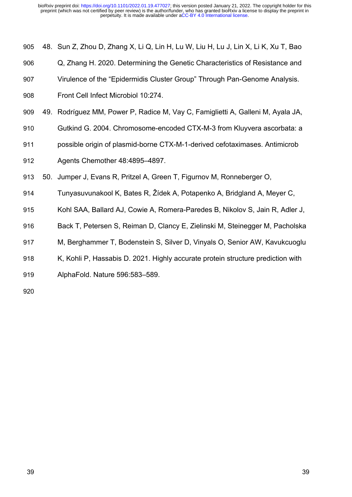| 905 | 48. Sun Z, Zhou D, Zhang X, Li Q, Lin H, Lu W, Liu H, Lu J, Lin X, Li K, Xu T, Bao |
|-----|------------------------------------------------------------------------------------|
| 906 | Q, Zhang H. 2020. Determining the Genetic Characteristics of Resistance and        |
| 907 | Virulence of the "Epidermidis Cluster Group" Through Pan-Genome Analysis.          |
| 908 | Front Cell Infect Microbiol 10:274.                                                |
| 909 | 49. Rodríguez MM, Power P, Radice M, Vay C, Famiglietti A, Galleni M, Ayala JA,    |
| 910 | Gutkind G. 2004. Chromosome-encoded CTX-M-3 from Kluyvera ascorbata: a             |
| 911 | possible origin of plasmid-borne CTX-M-1-derived cefotaximases. Antimicrob         |
| 912 | Agents Chemother 48:4895-4897.                                                     |
| 913 | 50. Jumper J, Evans R, Pritzel A, Green T, Figurnov M, Ronneberger O,              |
| 914 | Tunyasuvunakool K, Bates R, Žídek A, Potapenko A, Bridgland A, Meyer C,            |
| 915 | Kohl SAA, Ballard AJ, Cowie A, Romera-Paredes B, Nikolov S, Jain R, Adler J,       |
| 916 | Back T, Petersen S, Reiman D, Clancy E, Zielinski M, Steinegger M, Pacholska       |
| 917 | M, Berghammer T, Bodenstein S, Silver D, Vinyals O, Senior AW, Kavukcuoglu         |
| 918 | K, Kohli P, Hassabis D. 2021. Highly accurate protein structure prediction with    |
| 919 | AlphaFold. Nature 596:583-589.                                                     |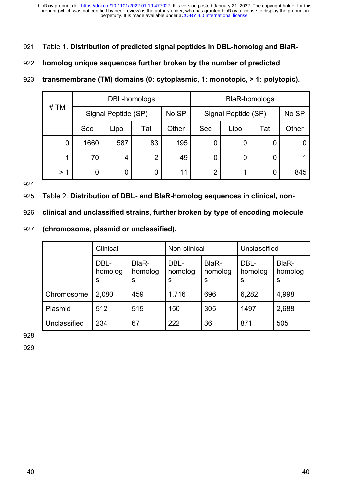Table 1. **Distribution of predicted signal peptides in DBL-homolog and BlaR-**921

#### **homolog unique sequences further broken by the number of predicted**  922

#### **transmembrane (TM) domains (0: cytoplasmic, 1: monotopic, > 1: polytopic).** 923

|      | DBL-homologs |                     |     |       | <b>BlaR-homologs</b> |      |     |       |
|------|--------------|---------------------|-----|-------|----------------------|------|-----|-------|
| # TM |              | Signal Peptide (SP) |     | No SP | Signal Peptide (SP)  |      |     | No SP |
|      | <b>Sec</b>   | Lipo                | Tat | Other | <b>Sec</b>           | Lipo | Tat | Other |
| 0    | 1660         | 587                 | 83  | 195   |                      | 0    |     |       |
| 1    | 70           | 4                   | 2   | 49    | 0                    | 0    |     |       |
| > 1  | 0            | 0                   |     | 11    | $\overline{2}$       |      |     | 845   |

924

Table 2. **Distribution of DBL- and BlaR-homolog sequences in clinical, non-**925

**clinical and unclassified strains, further broken by type of encoding molecule**  926

**(chromosome, plasmid or unclassified).** 927

|              | Clinical             |                       | Non-clinical         |                       | Unclassified         |                       |
|--------------|----------------------|-----------------------|----------------------|-----------------------|----------------------|-----------------------|
|              | DBL-<br>homolog<br>S | BlaR-<br>homolog<br>S | DBL-<br>homolog<br>s | BlaR-<br>homolog<br>S | DBL-<br>homolog<br>S | BlaR-<br>homolog<br>S |
| Chromosome   | 2,080                | 459                   | 1,716                | 696                   | 6,282                | 4,998                 |
| Plasmid      | 512                  | 515                   | 150                  | 305                   | 1497                 | 2,688                 |
| Unclassified | 234                  | 67                    | 222                  | 36                    | 871                  | 505                   |

928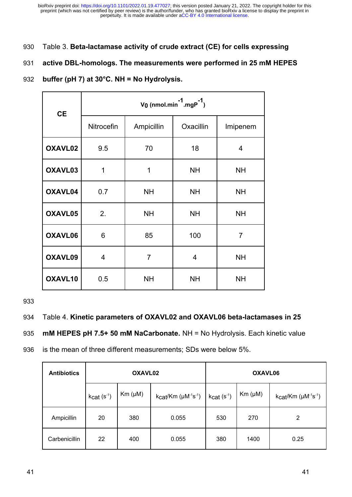- Table 3. **Beta-lactamase activity of crude extract (CE) for cells expressing**  930
- **active DBL-homologs. The measurements were performed in 25 mM HEPES**  931
- **buffer (pH 7) at 30°C. NH = No Hydrolysis.** 932

| <b>CE</b> | V <sub>0</sub> (nmol.min $1$ .mgP $^{-1}$ ) |                |           |           |  |  |  |  |
|-----------|---------------------------------------------|----------------|-----------|-----------|--|--|--|--|
|           | Nitrocefin                                  | Ampicillin     | Oxacillin | Imipenem  |  |  |  |  |
| OXAVL02   | 9.5                                         | 70             | 18        | 4         |  |  |  |  |
| OXAVL03   | 1                                           | 1              | <b>NH</b> | <b>NH</b> |  |  |  |  |
| OXAVL04   | 0.7                                         | <b>NH</b>      | <b>NH</b> | <b>NH</b> |  |  |  |  |
| OXAVL05   | 2.                                          | <b>NH</b>      | <b>NH</b> | <b>NH</b> |  |  |  |  |
| OXAVL06   | 6                                           | 85             | 100       | 7         |  |  |  |  |
| OXAVL09   | 4                                           | $\overline{7}$ | 4         | <b>NH</b> |  |  |  |  |
| OXAVL10   | 0.5                                         | <b>NH</b>      | <b>NH</b> | <b>NH</b> |  |  |  |  |

933

#### Table 4. **Kinetic parameters of OXAVL02 and OXAVL06 beta-lactamases in 25**  934

**mM HEPES pH 7.5+ 50 mM NaCarbonate.** NH = No Hydrolysis. Each kinetic value 935

is the mean of three different measurements; SDs were below 5%. 936

| <b>Antibiotics</b> |             | OXAVL02      |                                                      | OXAVL06     |              |                              |
|--------------------|-------------|--------------|------------------------------------------------------|-------------|--------------|------------------------------|
|                    | $kcat(s-1)$ | $Km (\mu M)$ | $k$ cat/Km ( $\mu$ M <sup>-1</sup> s <sup>-1</sup> ) | $kcat(s-1)$ | $Km (\mu M)$ | $kcat/Km (\mu M^{-1}s^{-1})$ |
| Ampicillin         | 20          | 380          | 0.055                                                | 530         | 270          | 2                            |
| Carbenicillin      | 22          | 400          | 0.055                                                | 380         | 1400         | 0.25                         |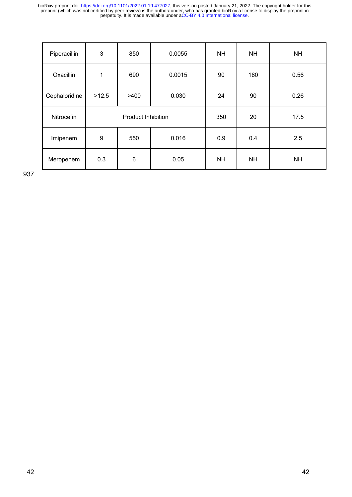| Piperacillin  | 3                         | 850  | 0.0055 | <b>NH</b> | <b>NH</b> | <b>NH</b> |
|---------------|---------------------------|------|--------|-----------|-----------|-----------|
| Oxacillin     | 1                         | 690  | 0.0015 | 90        | 160       | 0.56      |
| Cephaloridine | >12.5                     | >400 | 0.030  | 24        | 90        | 0.26      |
| Nitrocefin    | <b>Product Inhibition</b> |      |        |           |           | 17.5      |
| Imipenem      | 9                         | 550  | 0.016  | 0.9       | 0.4       | 2.5       |
| Meropenem     | 0.3                       | 6    | 0.05   | <b>NH</b> | <b>NH</b> | <b>NH</b> |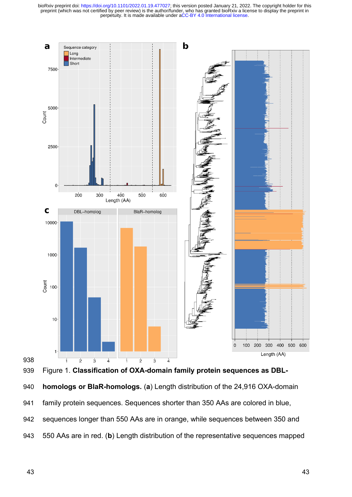

**homologs or BlaR-homologs.** (**a**) Length distribution of the 24,916 OXA-domain family protein sequences. Sequences shorter than 350 AAs are colored in blue, sequences longer than 550 AAs are in orange, while sequences between 350 and 550 AAs are in red. (**b**) Length distribution of the representative sequences mapped 939 940 941 942 943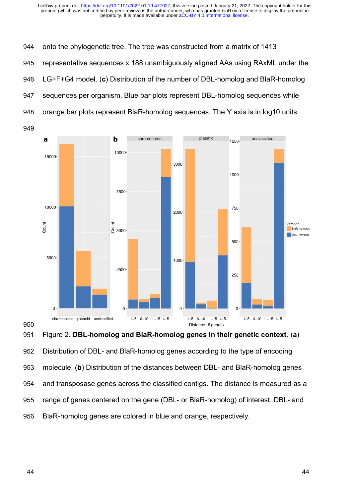onto the phylogenetic tree. The tree was constructed from a matrix of 1413 representative sequences x 188 unambiguously aligned AAs using RAxML under the LG+F+G4 model. (**c**) Distribution of the number of DBL-homolog and BlaR-homolog sequences per organism. Blue bar plots represent DBL-homolog sequences while orange bar plots represent BlaR-homolog sequences. The Y axis is in log10 units. 944 945 946 947 948